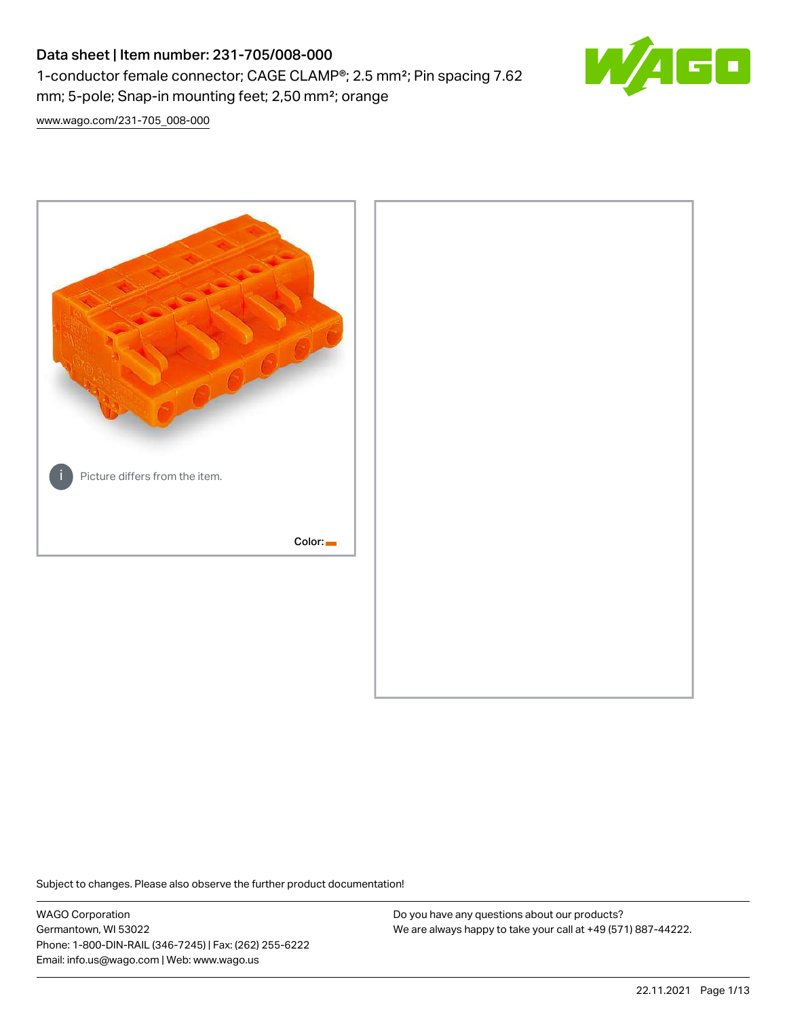# Data sheet | Item number: 231-705/008-000 1-conductor female connector; CAGE CLAMP®; 2.5 mm²; Pin spacing 7.62 mm; 5-pole; Snap-in mounting feet; 2,50 mm²; orange



[www.wago.com/231-705\\_008-000](http://www.wago.com/231-705_008-000)



Subject to changes. Please also observe the further product documentation!

WAGO Corporation Germantown, WI 53022 Phone: 1-800-DIN-RAIL (346-7245) | Fax: (262) 255-6222 Email: info.us@wago.com | Web: www.wago.us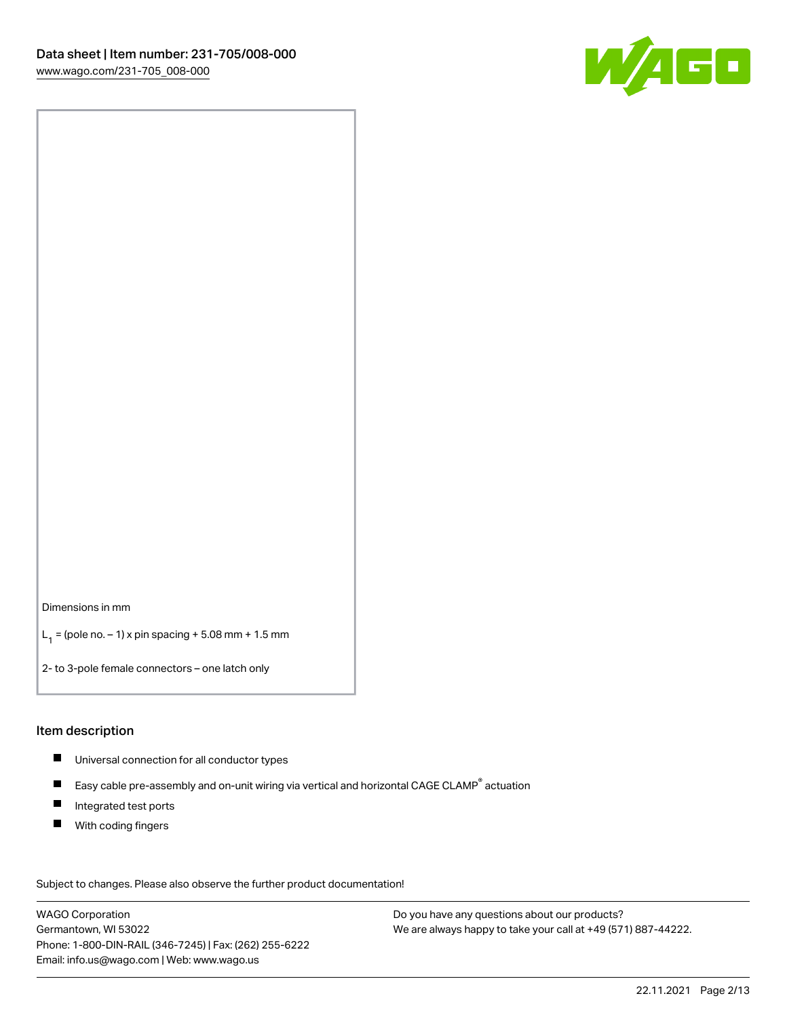

Dimensions in mm

 $L_1 =$  (pole no.  $-1$ ) x pin spacing + 5.08 mm + 1.5 mm

2- to 3-pole female connectors – one latch only

#### Item description

- Universal connection for all conductor types
- $\blacksquare$ Easy cable pre-assembly and on-unit wiring via vertical and horizontal CAGE CLAMP<sup>®</sup> actuation
- $\blacksquare$ Integrated test ports
- $\blacksquare$ With coding fingers

Subject to changes. Please also observe the further product documentation! Data

WAGO Corporation Germantown, WI 53022 Phone: 1-800-DIN-RAIL (346-7245) | Fax: (262) 255-6222 Email: info.us@wago.com | Web: www.wago.us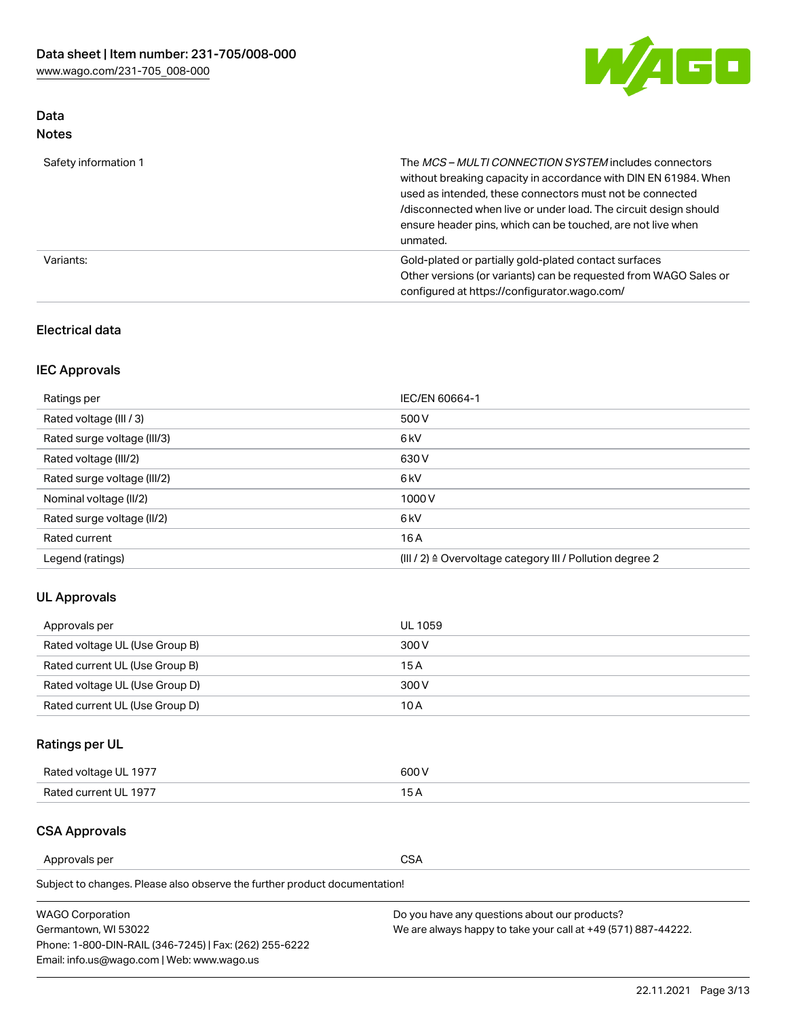

# Data Notes

| Safety information 1 | The MCS-MULTI CONNECTION SYSTEM includes connectors<br>without breaking capacity in accordance with DIN EN 61984. When<br>used as intended, these connectors must not be connected<br>/disconnected when live or under load. The circuit design should<br>ensure header pins, which can be touched, are not live when<br>unmated. |
|----------------------|-----------------------------------------------------------------------------------------------------------------------------------------------------------------------------------------------------------------------------------------------------------------------------------------------------------------------------------|
| Variants:            | Gold-plated or partially gold-plated contact surfaces<br>Other versions (or variants) can be requested from WAGO Sales or<br>configured at https://configurator.wago.com/                                                                                                                                                         |

# Electrical data

# IEC Approvals

| Ratings per                 | IEC/EN 60664-1                                                        |
|-----------------------------|-----------------------------------------------------------------------|
| Rated voltage (III / 3)     | 500 V                                                                 |
| Rated surge voltage (III/3) | 6 <sub>kV</sub>                                                       |
| Rated voltage (III/2)       | 630 V                                                                 |
| Rated surge voltage (III/2) | 6 <sub>kV</sub>                                                       |
| Nominal voltage (II/2)      | 1000V                                                                 |
| Rated surge voltage (II/2)  | 6 <sub>kV</sub>                                                       |
| Rated current               | 16A                                                                   |
| Legend (ratings)            | $(III / 2)$ $\triangle$ Overvoltage category III / Pollution degree 2 |

# UL Approvals

| Approvals per                  | UL 1059 |
|--------------------------------|---------|
| Rated voltage UL (Use Group B) | 300 V   |
| Rated current UL (Use Group B) | 15 A    |
| Rated voltage UL (Use Group D) | 300 V   |
| Rated current UL (Use Group D) | 10 A    |

# Ratings per UL

| Rated voltage UL 1977 | 600 V         |
|-----------------------|---------------|
| Rated current UL 1977 | $\sim$ $\sim$ |

# CSA Approvals

Approvals per CSA

Subject to changes. Please also observe the further product documentation!

| <b>WAGO Corporation</b>                                | Do you have any questions about our products?                 |
|--------------------------------------------------------|---------------------------------------------------------------|
| Germantown, WI 53022                                   | We are always happy to take your call at +49 (571) 887-44222. |
| Phone: 1-800-DIN-RAIL (346-7245)   Fax: (262) 255-6222 |                                                               |
| Email: info.us@wago.com   Web: www.wago.us             |                                                               |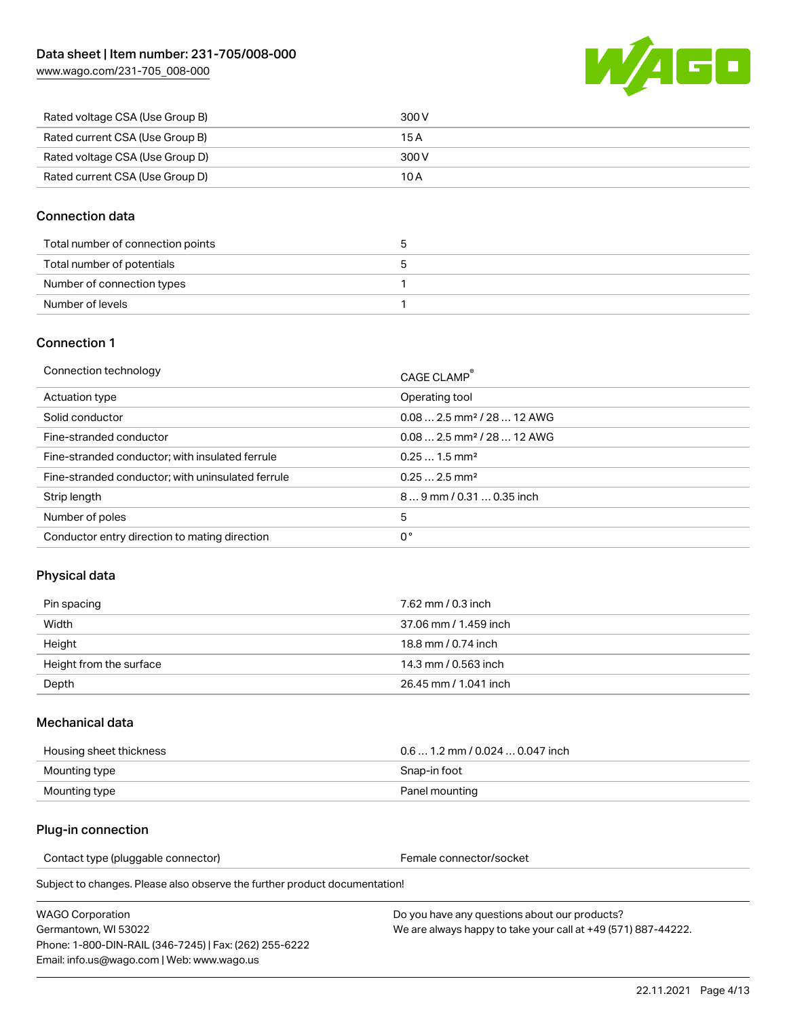

| Rated voltage CSA (Use Group B) | 300 V |
|---------------------------------|-------|
| Rated current CSA (Use Group B) | 15 A  |
| Rated voltage CSA (Use Group D) | 300 V |
| Rated current CSA (Use Group D) | 10 A  |

## Connection data

| Total number of connection points |  |
|-----------------------------------|--|
| Total number of potentials        |  |
| Number of connection types        |  |
| Number of levels                  |  |

#### Connection 1

| Connection technology                             | CAGE CLAMP <sup>®</sup>                 |
|---------------------------------------------------|-----------------------------------------|
| Actuation type                                    | Operating tool                          |
| Solid conductor                                   | $0.08$ 2.5 mm <sup>2</sup> / 28  12 AWG |
| Fine-stranded conductor                           | $0.082.5$ mm <sup>2</sup> / 28  12 AWG  |
| Fine-stranded conductor; with insulated ferrule   | $0.251.5$ mm <sup>2</sup>               |
| Fine-stranded conductor; with uninsulated ferrule | $0.252.5$ mm <sup>2</sup>               |
| Strip length                                      | 89 mm / 0.31  0.35 inch                 |
| Number of poles                                   | 5                                       |
| Conductor entry direction to mating direction     | 0°                                      |

# Physical data

| Pin spacing             | 7.62 mm / 0.3 inch    |
|-------------------------|-----------------------|
| Width                   | 37.06 mm / 1.459 inch |
| Height                  | 18.8 mm / 0.74 inch   |
| Height from the surface | 14.3 mm / 0.563 inch  |
| Depth                   | 26.45 mm / 1.041 inch |

#### Mechanical data

| Housing sheet thickness | $0.61.2$ mm / 0.024  0.047 inch |
|-------------------------|---------------------------------|
| Mounting type           | Snap-in foot                    |
| Mounting type           | Panel mounting                  |

# Plug-in connection

Contact type (pluggable connector) example a set of the Female connector/socket

Subject to changes. Please also observe the further product documentation!

| WAGO Corporation                                       |  |
|--------------------------------------------------------|--|
| Germantown. WI 53022                                   |  |
| Phone: 1-800-DIN-RAIL (346-7245)   Fax: (262) 255-6222 |  |
| Email: info.us@waqo.com   Web: www.waqo.us             |  |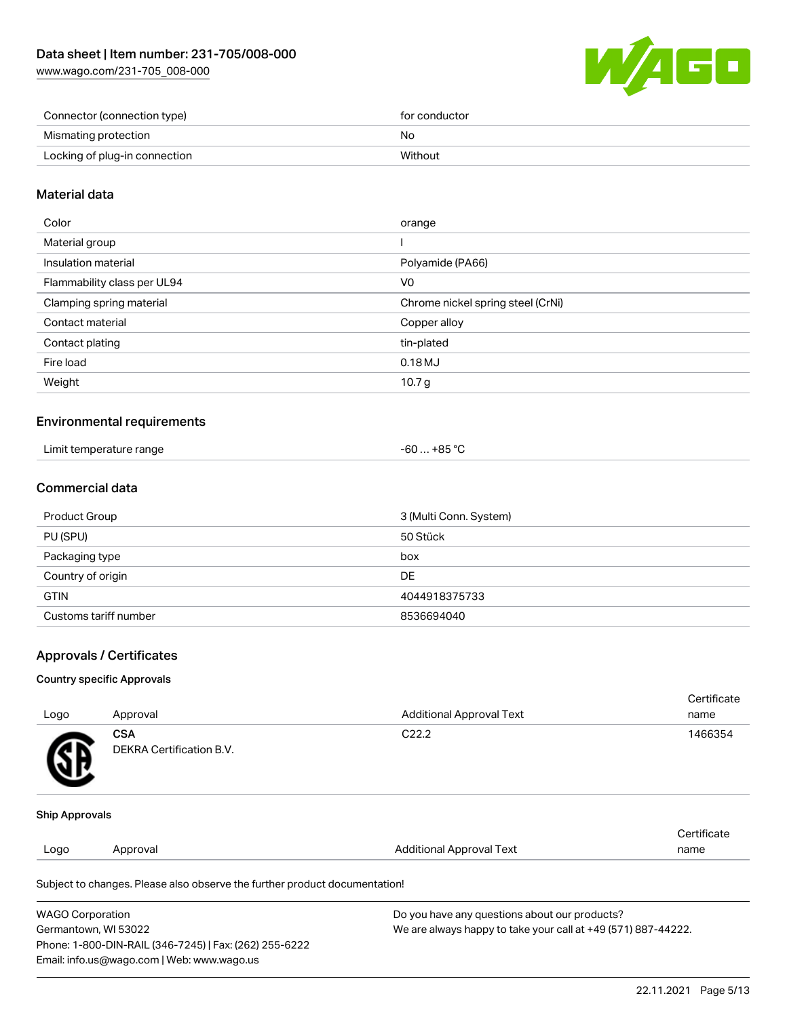

| Connector (connection type)   | for conductor |
|-------------------------------|---------------|
| Mismating protection          | No            |
| Locking of plug-in connection | Without       |

## Material data

| Color                       | orange                            |
|-----------------------------|-----------------------------------|
| Material group              |                                   |
| Insulation material         | Polyamide (PA66)                  |
| Flammability class per UL94 | V0                                |
| Clamping spring material    | Chrome nickel spring steel (CrNi) |
| Contact material            | Copper alloy                      |
| Contact plating             | tin-plated                        |
| Fire load                   | 0.18MJ                            |
| Weight                      | 10.7 <sub>g</sub>                 |
|                             |                                   |

#### Environmental requirements

| Limit temperature range<br>. | -60  +85 °C |
|------------------------------|-------------|
|------------------------------|-------------|

# Commercial data

| Product Group         | 3 (Multi Conn. System) |
|-----------------------|------------------------|
| PU (SPU)              | 50 Stück               |
| Packaging type        | box                    |
| Country of origin     | DE                     |
| <b>GTIN</b>           | 4044918375733          |
| Customs tariff number | 8536694040             |

#### Approvals / Certificates

#### Country specific Approvals

| Logo                  | Approval                               | <b>Additional Approval Text</b> | Certificate<br>name |
|-----------------------|----------------------------------------|---------------------------------|---------------------|
| SB.                   | <b>CSA</b><br>DEKRA Certification B.V. | C <sub>22.2</sub>               | 1466354             |
| <b>Ship Approvals</b> |                                        |                                 |                     |
|                       |                                        |                                 | Certificate         |
| Logo                  | Approval                               | <b>Additional Approval Text</b> | name                |
|                       |                                        |                                 |                     |

Subject to changes. Please also observe the further product documentation!

| <b>WAGO Corporation</b>                                | Do you have any questions about our products?                 |
|--------------------------------------------------------|---------------------------------------------------------------|
| Germantown, WI 53022                                   | We are always happy to take your call at +49 (571) 887-44222. |
| Phone: 1-800-DIN-RAIL (346-7245)   Fax: (262) 255-6222 |                                                               |
| Email: info.us@wago.com   Web: www.wago.us             |                                                               |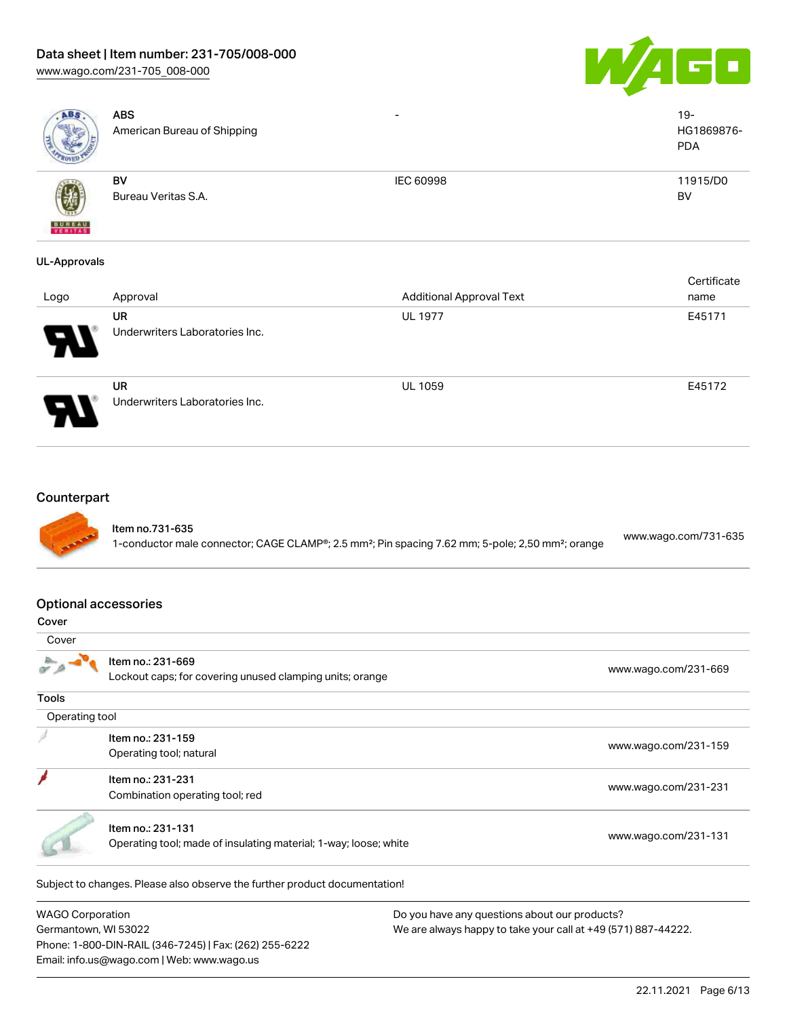# Data sheet | Item number: 231-705/008-000

[www.wago.com/231-705\\_008-000](http://www.wago.com/231-705_008-000)

Germantown, WI 53022

Phone: 1-800-DIN-RAIL (346-7245) | Fax: (262) 255-6222

Email: info.us@wago.com | Web: www.wago.us



| <b>ABS</b>                  | <b>ABS</b><br>American Bureau of Shipping                                             |                                                                                                                           | $19 -$<br>HG1869876-<br><b>PDA</b> |
|-----------------------------|---------------------------------------------------------------------------------------|---------------------------------------------------------------------------------------------------------------------------|------------------------------------|
| $F = H + T + 1$             | <b>BV</b><br>Bureau Veritas S.A.                                                      | <b>IEC 60998</b>                                                                                                          | 11915/D0<br>BV                     |
| <b>UL-Approvals</b>         |                                                                                       |                                                                                                                           |                                    |
| Logo                        | Approval                                                                              | <b>Additional Approval Text</b>                                                                                           | Certificate<br>name                |
|                             | <b>UR</b><br>Underwriters Laboratories Inc.                                           | <b>UL 1977</b>                                                                                                            | E45171                             |
|                             | <b>UR</b><br>Underwriters Laboratories Inc.                                           | <b>UL 1059</b>                                                                                                            | E45172                             |
| <b>Optional accessories</b> |                                                                                       | 1-conductor male connector; CAGE CLAMP®; 2.5 mm <sup>2</sup> ; Pin spacing 7.62 mm; 5-pole; 2,50 mm <sup>2</sup> ; orange |                                    |
| Cover<br>Cover              |                                                                                       |                                                                                                                           |                                    |
|                             | Item no.: 231-669<br>Lockout caps; for covering unused clamping units; orange         |                                                                                                                           | www.wago.com/231-669               |
| <b>Tools</b>                |                                                                                       |                                                                                                                           |                                    |
| Operating tool              |                                                                                       |                                                                                                                           |                                    |
|                             | Item no.: 231-159<br>Operating tool; natural                                          |                                                                                                                           | www.wago.com/231-159               |
|                             | Item no.: 231-231<br>Combination operating tool; red                                  |                                                                                                                           | www.wago.com/231-231               |
|                             | Item no.: 231-131<br>Operating tool; made of insulating material; 1-way; loose; white |                                                                                                                           | www.wago.com/231-131               |
|                             | Subject to changes. Please also observe the further product documentation!            |                                                                                                                           |                                    |
| <b>WAGO Corporation</b>     |                                                                                       | Do you have any questions about our products?                                                                             |                                    |

We are always happy to take your call at +49 (571) 887-44222.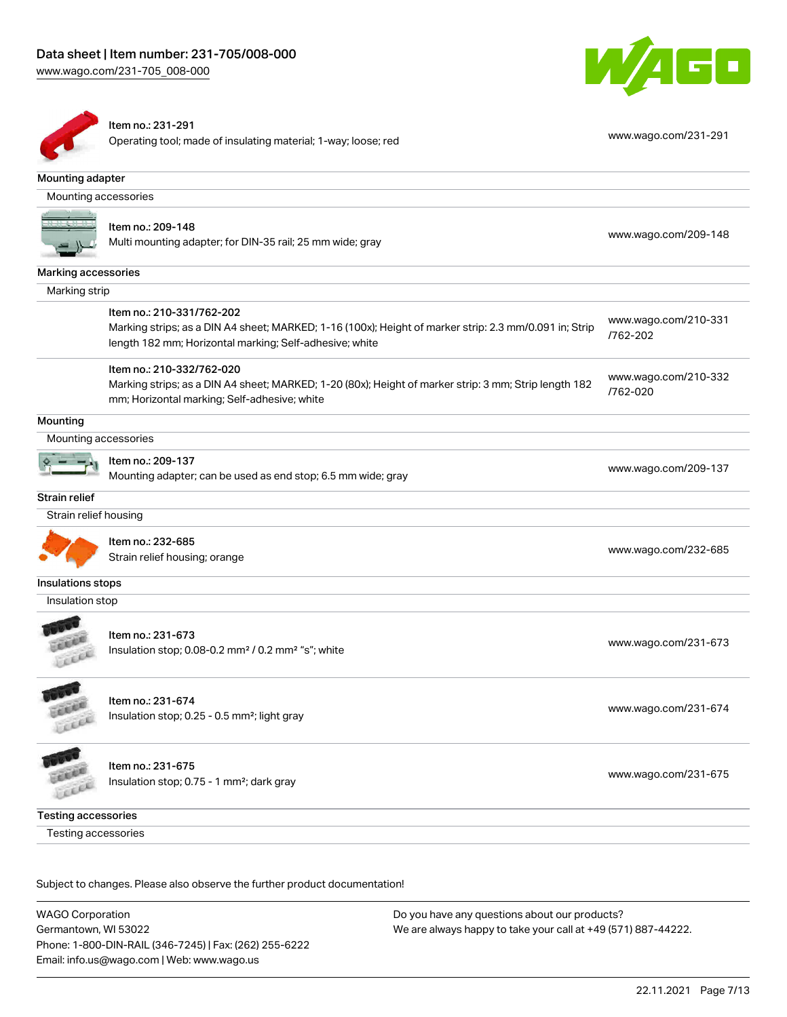



# Item no.: 231-291

Operating tool; made of insulating material; 1-way; loose; red [www.wago.com/231-291](http://www.wago.com/231-291)

| Mounting adapter           |                                                                                                                                                                                                |                                  |
|----------------------------|------------------------------------------------------------------------------------------------------------------------------------------------------------------------------------------------|----------------------------------|
| Mounting accessories       |                                                                                                                                                                                                |                                  |
|                            | Item no.: 209-148<br>Multi mounting adapter; for DIN-35 rail; 25 mm wide; gray                                                                                                                 | www.wago.com/209-148             |
| Marking accessories        |                                                                                                                                                                                                |                                  |
| Marking strip              |                                                                                                                                                                                                |                                  |
|                            | Item no.: 210-331/762-202<br>Marking strips; as a DIN A4 sheet; MARKED; 1-16 (100x); Height of marker strip: 2.3 mm/0.091 in; Strip<br>length 182 mm; Horizontal marking; Self-adhesive; white | www.wago.com/210-331<br>/762-202 |
|                            | Item no.: 210-332/762-020<br>Marking strips; as a DIN A4 sheet; MARKED; 1-20 (80x); Height of marker strip: 3 mm; Strip length 182<br>mm; Horizontal marking; Self-adhesive; white             | www.wago.com/210-332<br>/762-020 |
| Mounting                   |                                                                                                                                                                                                |                                  |
| Mounting accessories       |                                                                                                                                                                                                |                                  |
|                            | Item no.: 209-137<br>Mounting adapter; can be used as end stop; 6.5 mm wide; gray                                                                                                              | www.wago.com/209-137             |
| Strain relief              |                                                                                                                                                                                                |                                  |
| Strain relief housing      |                                                                                                                                                                                                |                                  |
|                            | Item no.: 232-685<br>Strain relief housing; orange                                                                                                                                             | www.wago.com/232-685             |
| Insulations stops          |                                                                                                                                                                                                |                                  |
| Insulation stop            |                                                                                                                                                                                                |                                  |
| COOL                       | Item no.: 231-673<br>Insulation stop; 0.08-0.2 mm <sup>2</sup> / 0.2 mm <sup>2</sup> "s"; white                                                                                                | www.wago.com/231-673             |
| LEEEE                      | Item no.: 231-674<br>Insulation stop; 0.25 - 0.5 mm <sup>2</sup> ; light gray                                                                                                                  | www.wago.com/231-674             |
|                            | Item no.: 231-675<br>Insulation stop; 0.75 - 1 mm <sup>2</sup> ; dark gray                                                                                                                     | www.wago.com/231-675             |
| <b>Testing accessories</b> |                                                                                                                                                                                                |                                  |
| Testing accessories        |                                                                                                                                                                                                |                                  |

Subject to changes. Please also observe the further product documentation!

WAGO Corporation Germantown, WI 53022 Phone: 1-800-DIN-RAIL (346-7245) | Fax: (262) 255-6222 Email: info.us@wago.com | Web: www.wago.us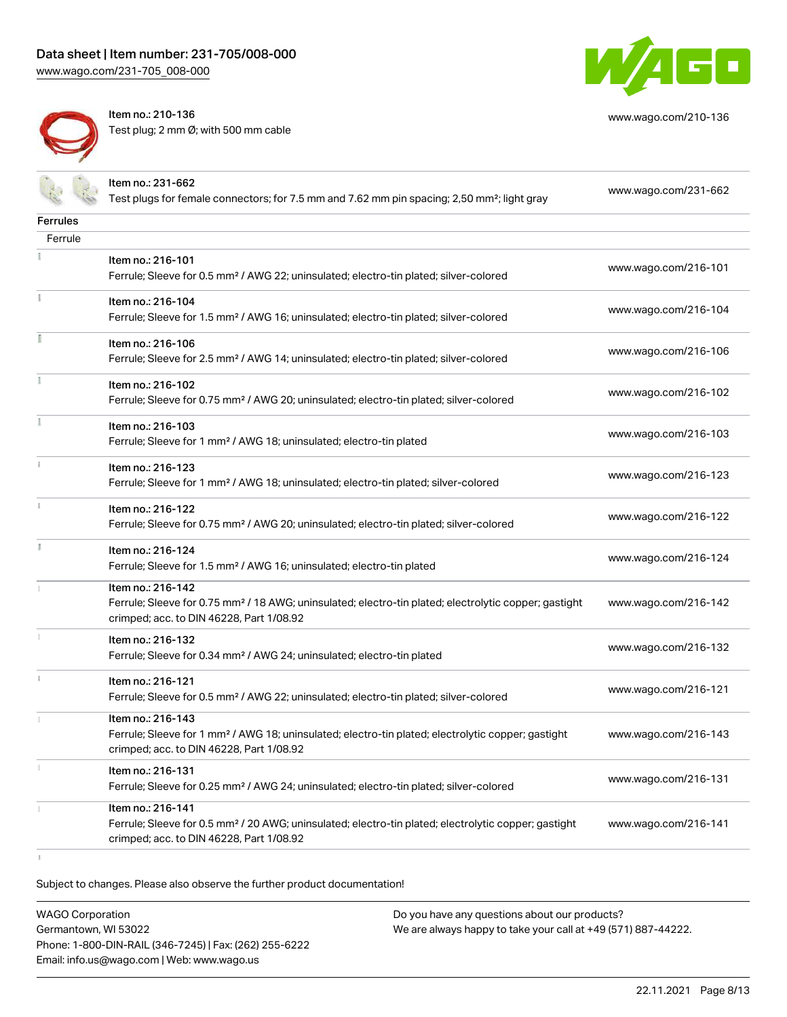

[www.wago.com/210-136](http://www.wago.com/210-136)

Item no.: 210-136 Test plug; 2 mm Ø; with 500 mm cable

|                 | Item no.: 231-662<br>Test plugs for female connectors; for 7.5 mm and 7.62 mm pin spacing; 2,50 mm <sup>2</sup> ; light gray                                                       | www.wago.com/231-662 |
|-----------------|------------------------------------------------------------------------------------------------------------------------------------------------------------------------------------|----------------------|
| <b>Ferrules</b> |                                                                                                                                                                                    |                      |
| Ferrule         |                                                                                                                                                                                    |                      |
|                 | Item no.: 216-101<br>Ferrule; Sleeve for 0.5 mm <sup>2</sup> / AWG 22; uninsulated; electro-tin plated; silver-colored                                                             | www.wago.com/216-101 |
|                 | Item no.: 216-104<br>Ferrule; Sleeve for 1.5 mm <sup>2</sup> / AWG 16; uninsulated; electro-tin plated; silver-colored                                                             | www.wago.com/216-104 |
|                 | Item no.: 216-106<br>Ferrule; Sleeve for 2.5 mm <sup>2</sup> / AWG 14; uninsulated; electro-tin plated; silver-colored                                                             | www.wago.com/216-106 |
|                 | Item no.: 216-102<br>Ferrule; Sleeve for 0.75 mm <sup>2</sup> / AWG 20; uninsulated; electro-tin plated; silver-colored                                                            | www.wago.com/216-102 |
|                 | Item no.: 216-103<br>Ferrule; Sleeve for 1 mm <sup>2</sup> / AWG 18; uninsulated; electro-tin plated                                                                               | www.wago.com/216-103 |
|                 | Item no.: 216-123<br>Ferrule; Sleeve for 1 mm <sup>2</sup> / AWG 18; uninsulated; electro-tin plated; silver-colored                                                               | www.wago.com/216-123 |
|                 | Item no.: 216-122<br>Ferrule; Sleeve for 0.75 mm <sup>2</sup> / AWG 20; uninsulated; electro-tin plated; silver-colored                                                            | www.wago.com/216-122 |
| I.              | Item no.: 216-124<br>Ferrule; Sleeve for 1.5 mm <sup>2</sup> / AWG 16; uninsulated; electro-tin plated                                                                             | www.wago.com/216-124 |
|                 | Item no.: 216-142<br>Ferrule; Sleeve for 0.75 mm <sup>2</sup> / 18 AWG; uninsulated; electro-tin plated; electrolytic copper; gastight<br>crimped; acc. to DIN 46228, Part 1/08.92 | www.wago.com/216-142 |
|                 | Item no.: 216-132<br>Ferrule; Sleeve for 0.34 mm <sup>2</sup> / AWG 24; uninsulated; electro-tin plated                                                                            | www.wago.com/216-132 |
|                 | Item no.: 216-121<br>Ferrule; Sleeve for 0.5 mm <sup>2</sup> / AWG 22; uninsulated; electro-tin plated; silver-colored                                                             | www.wago.com/216-121 |
|                 | Item no.: 216-143<br>Ferrule; Sleeve for 1 mm <sup>2</sup> / AWG 18; uninsulated; electro-tin plated; electrolytic copper; gastight<br>crimped; acc. to DIN 46228, Part 1/08.92    | www.wago.com/216-143 |
|                 | Item no.: 216-131<br>Ferrule; Sleeve for 0.25 mm <sup>2</sup> / AWG 24; uninsulated; electro-tin plated; silver-colored                                                            | www.wago.com/216-131 |
|                 | Item no.: 216-141<br>Ferrule; Sleeve for 0.5 mm <sup>2</sup> / 20 AWG; uninsulated; electro-tin plated; electrolytic copper; gastight<br>crimped; acc. to DIN 46228, Part 1/08.92  | www.wago.com/216-141 |

Subject to changes. Please also observe the further product documentation!

WAGO Corporation Germantown, WI 53022 Phone: 1-800-DIN-RAIL (346-7245) | Fax: (262) 255-6222 Email: info.us@wago.com | Web: www.wago.us

 $\bar{1}$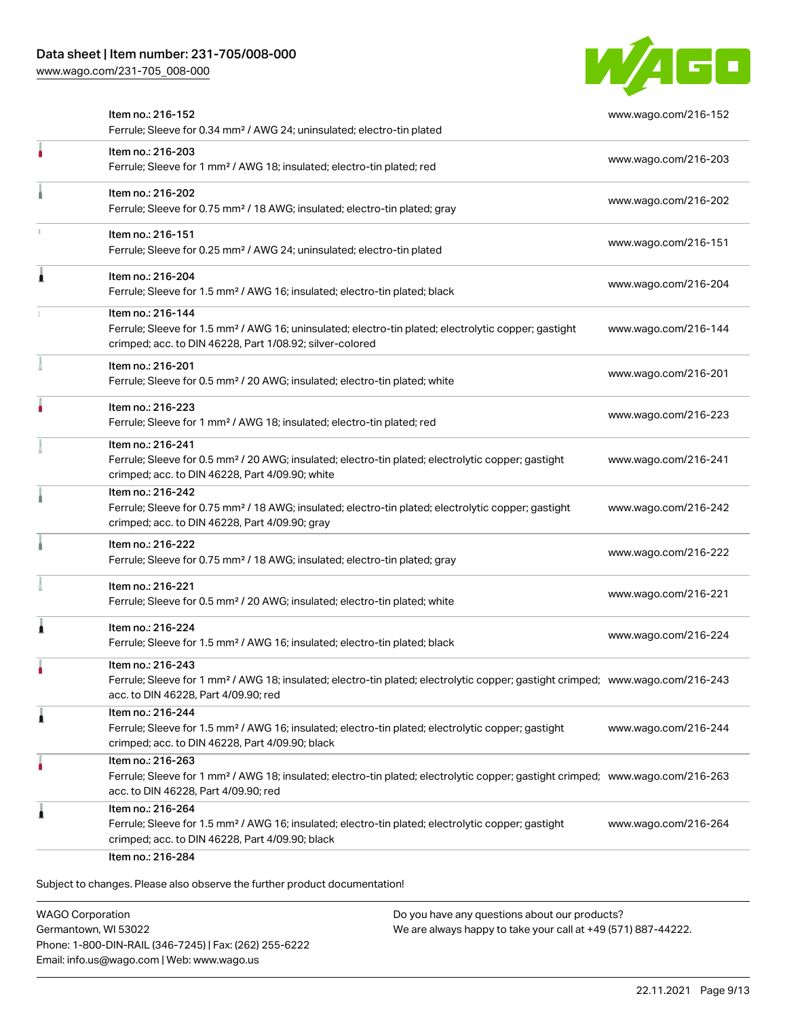

|   | Item no.: 216-152<br>Ferrule; Sleeve for 0.34 mm <sup>2</sup> / AWG 24; uninsulated; electro-tin plated                                                                                                 | www.wago.com/216-152 |
|---|---------------------------------------------------------------------------------------------------------------------------------------------------------------------------------------------------------|----------------------|
|   | Item no.: 216-203<br>Ferrule; Sleeve for 1 mm <sup>2</sup> / AWG 18; insulated; electro-tin plated; red                                                                                                 | www.wago.com/216-203 |
|   | Item no.: 216-202<br>Ferrule; Sleeve for 0.75 mm <sup>2</sup> / 18 AWG; insulated; electro-tin plated; gray                                                                                             | www.wago.com/216-202 |
|   | Item no.: 216-151<br>Ferrule; Sleeve for 0.25 mm <sup>2</sup> / AWG 24; uninsulated; electro-tin plated                                                                                                 | www.wago.com/216-151 |
|   | Item no.: 216-204<br>Ferrule; Sleeve for 1.5 mm <sup>2</sup> / AWG 16; insulated; electro-tin plated; black                                                                                             | www.wago.com/216-204 |
|   | Item no.: 216-144<br>Ferrule; Sleeve for 1.5 mm <sup>2</sup> / AWG 16; uninsulated; electro-tin plated; electrolytic copper; gastight<br>crimped; acc. to DIN 46228, Part 1/08.92; silver-colored       | www.wago.com/216-144 |
|   | Item no.: 216-201<br>Ferrule; Sleeve for 0.5 mm <sup>2</sup> / 20 AWG; insulated; electro-tin plated; white                                                                                             | www.wago.com/216-201 |
|   | Item no.: 216-223<br>Ferrule; Sleeve for 1 mm <sup>2</sup> / AWG 18; insulated; electro-tin plated; red                                                                                                 | www.wago.com/216-223 |
|   | Item no.: 216-241<br>Ferrule; Sleeve for 0.5 mm <sup>2</sup> / 20 AWG; insulated; electro-tin plated; electrolytic copper; gastight<br>crimped; acc. to DIN 46228, Part 4/09.90; white                  | www.wago.com/216-241 |
|   | Item no.: 216-242<br>Ferrule; Sleeve for 0.75 mm <sup>2</sup> / 18 AWG; insulated; electro-tin plated; electrolytic copper; gastight<br>crimped; acc. to DIN 46228, Part 4/09.90; gray                  | www.wago.com/216-242 |
|   | Item no.: 216-222<br>Ferrule; Sleeve for 0.75 mm <sup>2</sup> / 18 AWG; insulated; electro-tin plated; gray                                                                                             | www.wago.com/216-222 |
|   | Item no.: 216-221<br>Ferrule; Sleeve for 0.5 mm <sup>2</sup> / 20 AWG; insulated; electro-tin plated; white                                                                                             | www.wago.com/216-221 |
|   | Item no.: 216-224<br>Ferrule; Sleeve for 1.5 mm <sup>2</sup> / AWG 16; insulated; electro-tin plated; black                                                                                             | www.wago.com/216-224 |
|   | Item no.: 216-243<br>Ferrule; Sleeve for 1 mm <sup>2</sup> / AWG 18; insulated; electro-tin plated; electrolytic copper; gastight crimped; www.wago.com/216-243<br>acc. to DIN 46228, Part 4/09.90; red |                      |
| л | Item no.: 216-244<br>Ferrule; Sleeve for 1.5 mm <sup>2</sup> / AWG 16; insulated; electro-tin plated; electrolytic copper; gastight<br>crimped; acc. to DIN 46228, Part 4/09.90; black                  | www.wago.com/216-244 |
| ٠ | Item no.: 216-263<br>Ferrule; Sleeve for 1 mm <sup>2</sup> / AWG 18; insulated; electro-tin plated; electrolytic copper; gastight crimped; www.wago.com/216-263<br>acc. to DIN 46228, Part 4/09.90; red |                      |
|   | Item no.: 216-264<br>Ferrule; Sleeve for 1.5 mm <sup>2</sup> / AWG 16; insulated; electro-tin plated; electrolytic copper; gastight<br>crimped; acc. to DIN 46228, Part 4/09.90; black                  | www.wago.com/216-264 |

WAGO Corporation Germantown, WI 53022 Phone: 1-800-DIN-RAIL (346-7245) | Fax: (262) 255-6222 Email: info.us@wago.com | Web: www.wago.us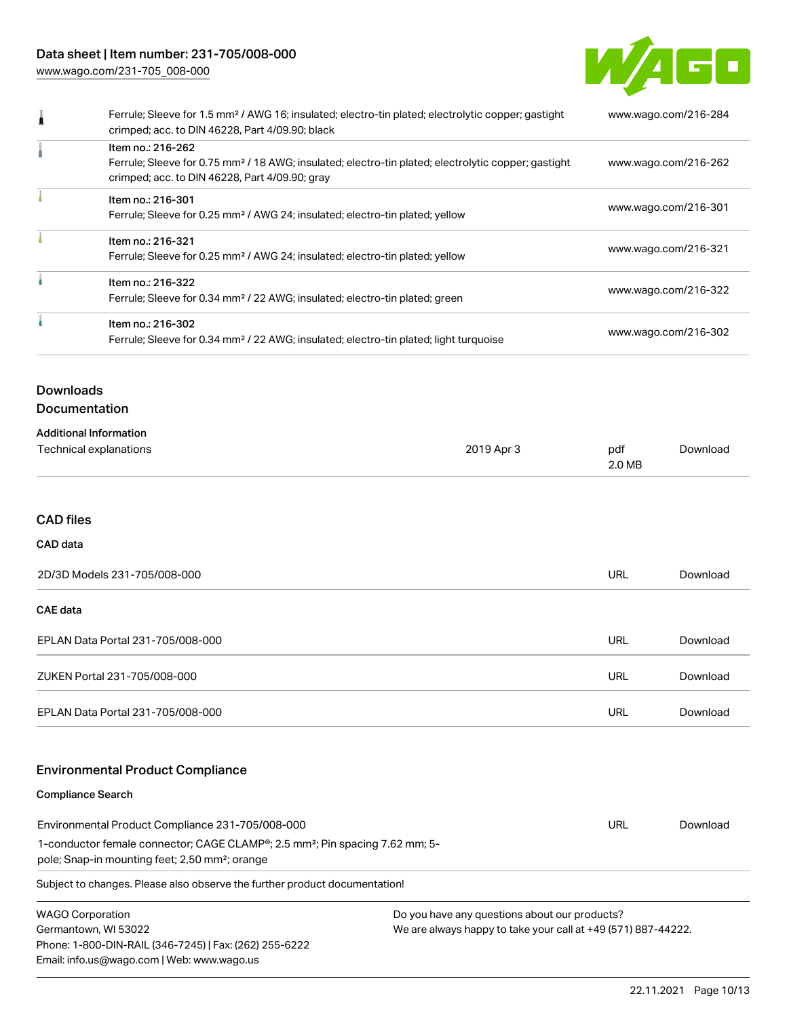

| Ferrule; Sleeve for 1.5 mm <sup>2</sup> / AWG 16; insulated; electro-tin plated; electrolytic copper; gastight<br>crimped; acc. to DIN 46228, Part 4/09.90; black | www.wago.com/216-284 |
|-------------------------------------------------------------------------------------------------------------------------------------------------------------------|----------------------|
| Item no.: 216-262                                                                                                                                                 |                      |
| Ferrule; Sleeve for 0.75 mm <sup>2</sup> / 18 AWG; insulated; electro-tin plated; electrolytic copper; gastight<br>crimped; acc. to DIN 46228, Part 4/09.90; gray | www.wago.com/216-262 |
| Item no.: 216-301                                                                                                                                                 |                      |
| Ferrule; Sleeve for 0.25 mm <sup>2</sup> / AWG 24; insulated; electro-tin plated; yellow                                                                          | www.wago.com/216-301 |
| Item no.: 216-321                                                                                                                                                 | www.wago.com/216-321 |
| Ferrule; Sleeve for 0.25 mm <sup>2</sup> / AWG 24; insulated; electro-tin plated; yellow                                                                          |                      |
| Item no.: 216-322                                                                                                                                                 |                      |
| Ferrule; Sleeve for 0.34 mm <sup>2</sup> / 22 AWG; insulated; electro-tin plated; green                                                                           | www.wago.com/216-322 |
| Item no.: 216-302                                                                                                                                                 |                      |
| Ferrule; Sleeve for 0.34 mm <sup>2</sup> / 22 AWG; insulated; electro-tin plated; light turquoise                                                                 | www.wago.com/216-302 |
|                                                                                                                                                                   |                      |

# Downloads

| <b>Documentation</b> |
|----------------------|
|----------------------|

| <b>Additional Information</b> |            |               |          |
|-------------------------------|------------|---------------|----------|
| Technical explanations        | 2019 Apr 3 | pdf<br>2.0 MB | Download |
|                               |            |               |          |

# CAD files

#### CAD data

| 2D/3D Models 231-705/008-000      | URL        | Download |
|-----------------------------------|------------|----------|
| <b>CAE</b> data                   |            |          |
| EPLAN Data Portal 231-705/008-000 | URL        | Download |
| ZUKEN Portal 231-705/008-000      | <b>URL</b> | Download |
| EPLAN Data Portal 231-705/008-000 | URL        | Download |

# Environmental Product Compliance

#### Compliance Search

| Environmental Product Compliance 231-705/008-000                                                      | URL | Download |
|-------------------------------------------------------------------------------------------------------|-----|----------|
| 1-conductor female connector; CAGE CLAMP <sup>®</sup> ; 2.5 mm <sup>2</sup> ; Pin spacing 7.62 mm; 5- |     |          |
| pole; Snap-in mounting feet; 2,50 mm <sup>2</sup> ; orange                                            |     |          |
|                                                                                                       |     |          |

Subject to changes. Please also observe the further product documentation!

| <b>WAGO Corporation</b>                                |
|--------------------------------------------------------|
| Germantown, WI 53022                                   |
| Phone: 1-800-DIN-RAIL (346-7245)   Fax: (262) 255-6222 |
| Email: info.us@wago.com   Web: www.wago.us             |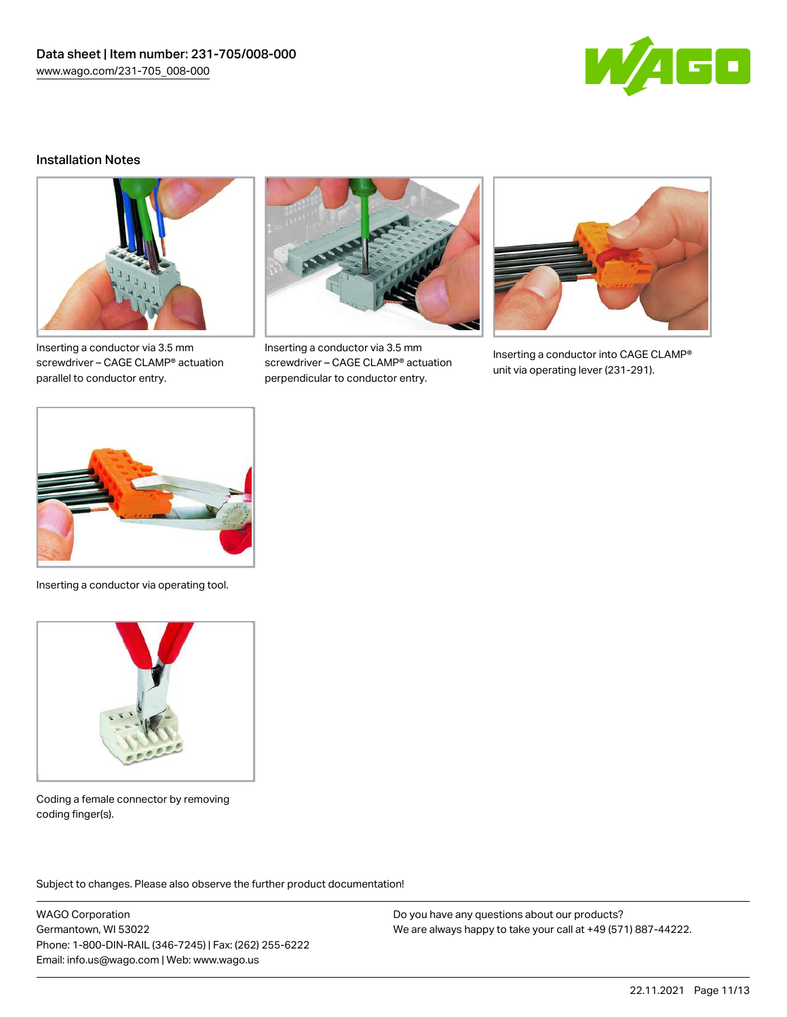

#### Installation Notes



Inserting a conductor via 3.5 mm screwdriver – CAGE CLAMP® actuation parallel to conductor entry.



Inserting a conductor via 3.5 mm screwdriver – CAGE CLAMP® actuation perpendicular to conductor entry.



Inserting a conductor into CAGE CLAMP® unit via operating lever (231-291).



Inserting a conductor via operating tool.



Coding a female connector by removing coding finger(s).

Subject to changes. Please also observe the further product documentation!

WAGO Corporation Germantown, WI 53022 Phone: 1-800-DIN-RAIL (346-7245) | Fax: (262) 255-6222 Email: info.us@wago.com | Web: www.wago.us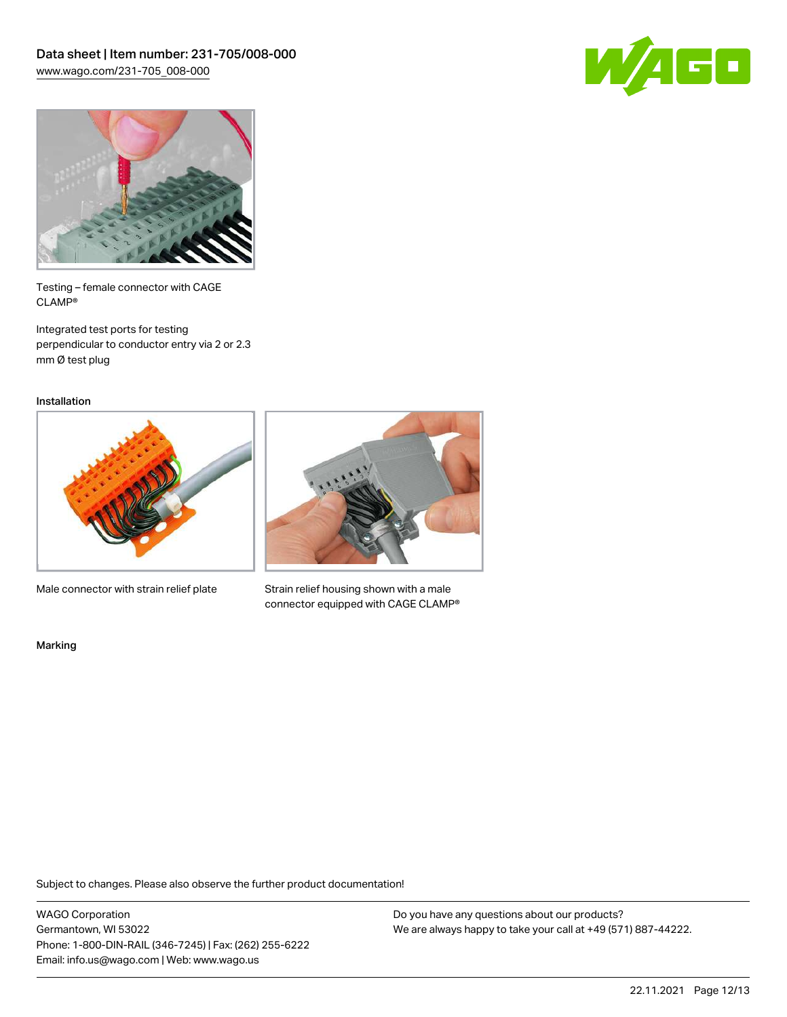



Testing – female connector with CAGE CLAMP®

Integrated test ports for testing perpendicular to conductor entry via 2 or 2.3 mm Ø test plug

Installation



Male connector with strain relief plate



Strain relief housing shown with a male connector equipped with CAGE CLAMP®

Marking

Subject to changes. Please also observe the further product documentation!

WAGO Corporation Germantown, WI 53022 Phone: 1-800-DIN-RAIL (346-7245) | Fax: (262) 255-6222 Email: info.us@wago.com | Web: www.wago.us